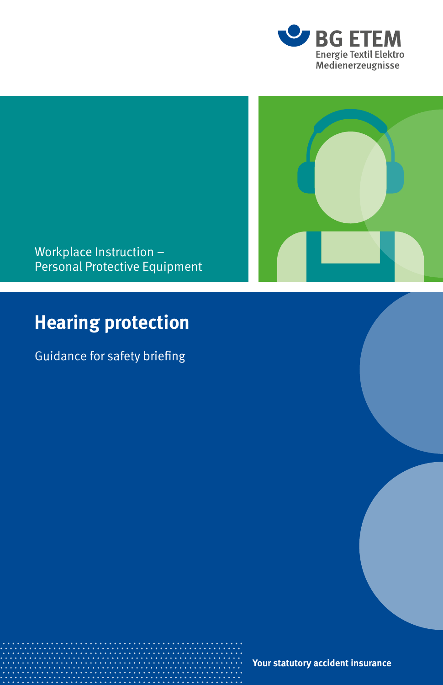



Workplace Instruction – Personal Protective Equipment

# **Hearing protection**

Guidance for safety briefing

**Your statutory accident insurance**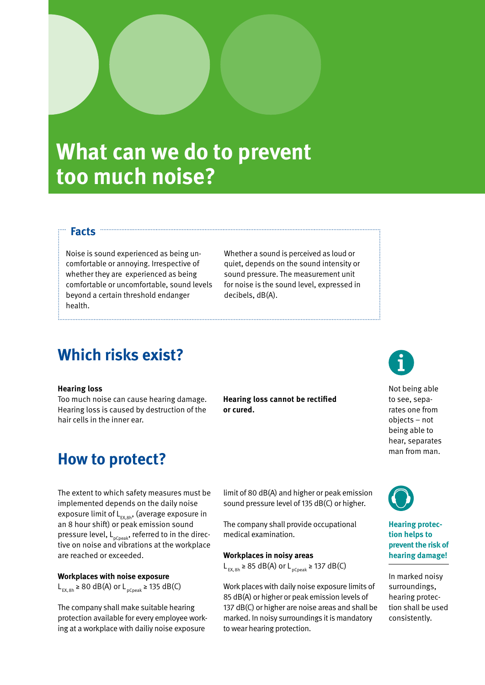# **What can we do to prevent too much noise?**

## **Facts**

Noise is sound experienced as being uncomfortable or annoying. Irrespective of whether they are experienced as being comfortable or uncomfortable, sound levels beyond a certain threshold endanger health.

Whether a sound is perceived as loud or quiet, depends on the sound intensity or sound pressure. The measurement unit for noise is the sound level, expressed in decibels, dB(A).

# **Which risks exist?**

#### **Hearing loss**

Too much noise can cause hearing damage. Hearing loss is caused by destruction of the hair cells in the inner ear.

## **How to protect?**

The extent to which safety measures must be implemented depends on the daily noise exposure limit of  $L_{EX,8h}$ , (average exposure in an 8 hour shift) or peak emission sound pressure level,  $L_{pCpeak}$ , referred to in the directive on noise and vibrations at the workplace are reached or exceeded.

#### **Workplaces with noise exposure**

L<sub>EX, 8h</sub> ≥ 80 dB(A) or L<sub>pCpeak</sub> ≥ 135 dB(C)

The company shall make suitable hearing protection available for every employee working at a workplace with dailiy noise exposure

**Hearing loss cannot be rectified or cured.** 

limit of 80 dB(A) and higher or peak emission sound pressure level of 135 dB(C) or higher.

The company shall provide occupational medical examination.

#### **Workplaces in noisy areas**

L<sub>EX,8h</sub> ≥ 85 dB(A) or L<sub>pCpeak</sub> ≥ 137 dB(C)

Work places with daily noise exposure limits of 85 dB(A) or higher or peak emission levels of 137 dB(C) or higher are noise areas and shall be marked. In noisy surroundings it is mandatory to wear hearing protection.



Not being able to see, separates one from objects – not being able to hear, separates man from man.



### **Hearing protection helps to prevent the risk of hearing damage!**

In marked noisy surroundings, hearing protection shall be used consistently.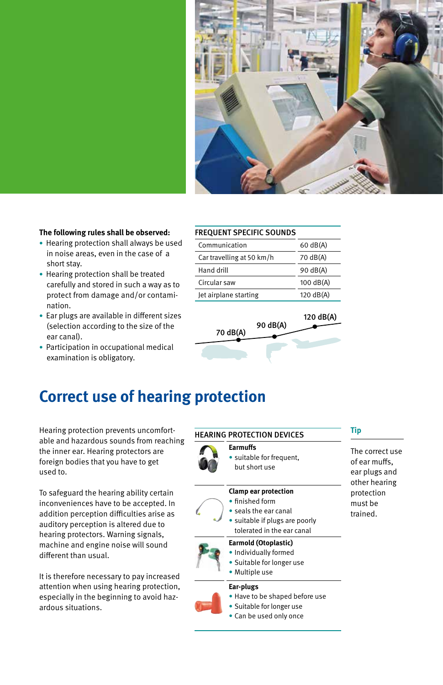

#### **The following rules shall be observed:**

- Hearing protection shall always be used in noise areas, even in the case of a short stay.
- Hearing protection shall be treated carefully and stored in such a way as to protect from damage and/or contamination.
- Ear plugs are available in different sizes (selection according to the size of the ear canal).
- Participation in occupational medical examination is obligatory.

| <b>FREQUENT SPECIFIC SOUNDS</b> |  |  |
|---------------------------------|--|--|
|---------------------------------|--|--|

| Communication             | $60 \text{ dB(A)}$  |
|---------------------------|---------------------|
| Car travelling at 50 km/h | 70 dB(A)            |
| Hand drill                | 90 dB(A)            |
| Circular saw              | $100$ dB(A)         |
| Jet airplane starting     | $120 \text{ dB(A)}$ |



# **Correct use of hearing protection**

Hearing protection prevents uncomfortable and hazardous sounds from reaching the inner ear. Hearing protectors are foreign bodies that you have to get used to.

To safeguard the hearing ability certain inconveniences have to be accepted. In addition perception difficulties arise as auditory perception is altered due to hearing protectors. Warning signals, machine and engine noise will sound different than usual.

It is therefore necessary to pay increased attention when using hearing protection, especially in the beginning to avoid hazardous situations.